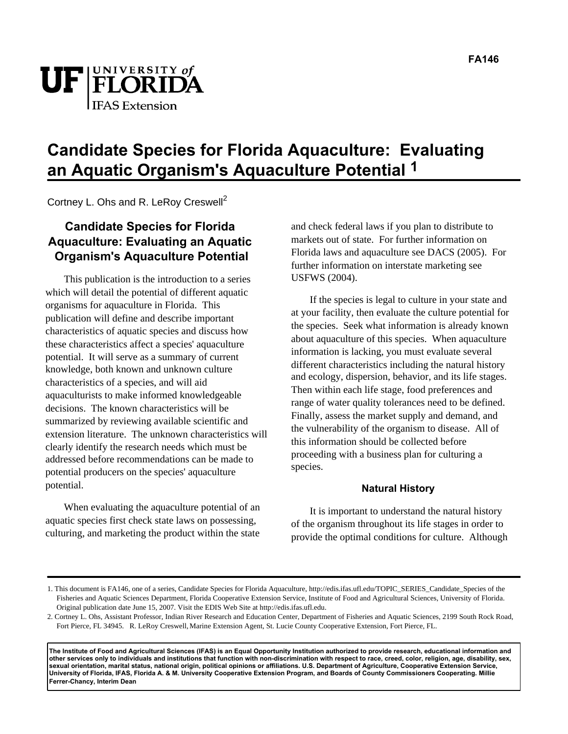



# **Candidate Species for Florida Aquaculture: Evaluating an Aquatic Organism's Aquaculture Potential 1**

Cortney L. Ohs and R. LeRoy Creswell<sup>2</sup>

# **Candidate Species for Florida Aquaculture: Evaluating an Aquatic Organism's Aquaculture Potential**

This publication is the introduction to a series which will detail the potential of different aquatic organisms for aquaculture in Florida. This publication will define and describe important characteristics of aquatic species and discuss how these characteristics affect a species' aquaculture potential. It will serve as a summary of current knowledge, both known and unknown culture characteristics of a species, and will aid aquaculturists to make informed knowledgeable decisions. The known characteristics will be summarized by reviewing available scientific and extension literature. The unknown characteristics will clearly identify the research needs which must be addressed before recommendations can be made to potential producers on the species' aquaculture potential.

When evaluating the aquaculture potential of an aquatic species first check state laws on possessing, culturing, and marketing the product within the state and check federal laws if you plan to distribute to markets out of state. For further information on Florida laws and aquaculture see DACS (2005). For further information on interstate marketing see USFWS (2004).

If the species is legal to culture in your state and at your facility, then evaluate the culture potential for the species. Seek what information is already known about aquaculture of this species. When aquaculture information is lacking, you must evaluate several different characteristics including the natural history and ecology, dispersion, behavior, and its life stages. Then within each life stage, food preferences and range of water quality tolerances need to be defined. Finally, assess the market supply and demand, and the vulnerability of the organism to disease. All of this information should be collected before proceeding with a business plan for culturing a species.

### **Natural History**

It is important to understand the natural history of the organism throughout its life stages in order to provide the optimal conditions for culture. Although

**The Institute of Food and Agricultural Sciences (IFAS) is an Equal Opportunity Institution authorized to provide research, educational information and other services only to individuals and institutions that function with non-discrimination with respect to race, creed, color, religion, age, disability, sex, sexual orientation, marital status, national origin, political opinions or affiliations. U.S. Department of Agriculture, Cooperative Extension Service, University of Florida, IFAS, Florida A. & M. University Cooperative Extension Program, and Boards of County Commissioners Cooperating. Millie Ferrer-Chancy, Interim Dean** 

<sup>1.</sup> This document is FA146, one of a series, Candidate Species for Florida Aquaculture, http://edis.ifas.ufl.edu/TOPIC\_SERIES\_Candidate\_Species of the Fisheries and Aquatic Sciences Department, Florida Cooperative Extension Service, Institute of Food and Agricultural Sciences, University of Florida. Original publication date June 15, 2007. Visit the EDIS Web Site at http://edis.ifas.ufl.edu.

<sup>2.</sup> Cortney L. Ohs, Assistant Professor, Indian River Research and Education Center, Department of Fisheries and Aquatic Sciences, 2199 South Rock Road, Fort Pierce, FL 34945. R. LeRoy Creswell, Marine Extension Agent, St. Lucie County Cooperative Extension, Fort Pierce, FL.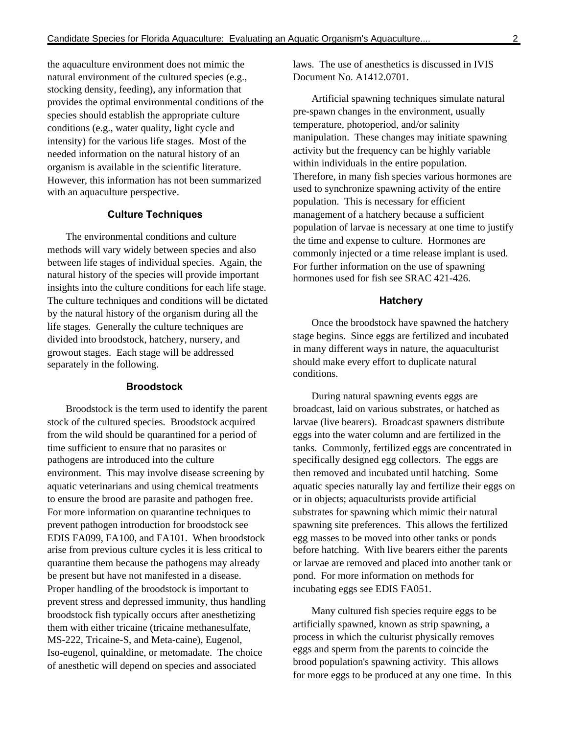the aquaculture environment does not mimic the natural environment of the cultured species (e.g., stocking density, feeding), any information that provides the optimal environmental conditions of the species should establish the appropriate culture conditions (e.g., water quality, light cycle and intensity) for the various life stages. Most of the needed information on the natural history of an organism is available in the scientific literature. However, this information has not been summarized with an aquaculture perspective.

#### **Culture Techniques**

The environmental conditions and culture methods will vary widely between species and also between life stages of individual species. Again, the natural history of the species will provide important insights into the culture conditions for each life stage. The culture techniques and conditions will be dictated by the natural history of the organism during all the life stages. Generally the culture techniques are divided into broodstock, hatchery, nursery, and growout stages. Each stage will be addressed separately in the following.

#### **Broodstock**

Broodstock is the term used to identify the parent stock of the cultured species. Broodstock acquired from the wild should be quarantined for a period of time sufficient to ensure that no parasites or pathogens are introduced into the culture environment. This may involve disease screening by aquatic veterinarians and using chemical treatments to ensure the brood are parasite and pathogen free. For more information on quarantine techniques to prevent pathogen introduction for broodstock see EDIS FA099, FA100, and FA101. When broodstock arise from previous culture cycles it is less critical to quarantine them because the pathogens may already be present but have not manifested in a disease. Proper handling of the broodstock is important to prevent stress and depressed immunity, thus handling broodstock fish typically occurs after anesthetizing them with either tricaine (tricaine methanesulfate, MS-222, Tricaine-S, and Meta-caine), Eugenol, Iso-eugenol, quinaldine, or metomadate. The choice of anesthetic will depend on species and associated

laws. The use of anesthetics is discussed in IVIS Document No. A1412.0701.

Artificial spawning techniques simulate natural pre-spawn changes in the environment, usually temperature, photoperiod, and/or salinity manipulation. These changes may initiate spawning activity but the frequency can be highly variable within individuals in the entire population. Therefore, in many fish species various hormones are used to synchronize spawning activity of the entire population. This is necessary for efficient management of a hatchery because a sufficient population of larvae is necessary at one time to justify the time and expense to culture. Hormones are commonly injected or a time release implant is used. For further information on the use of spawning hormones used for fish see SRAC 421-426.

#### **Hatchery**

Once the broodstock have spawned the hatchery stage begins. Since eggs are fertilized and incubated in many different ways in nature, the aquaculturist should make every effort to duplicate natural conditions.

During natural spawning events eggs are broadcast, laid on various substrates, or hatched as larvae (live bearers). Broadcast spawners distribute eggs into the water column and are fertilized in the tanks. Commonly, fertilized eggs are concentrated in specifically designed egg collectors. The eggs are then removed and incubated until hatching. Some aquatic species naturally lay and fertilize their eggs on or in objects; aquaculturists provide artificial substrates for spawning which mimic their natural spawning site preferences. This allows the fertilized egg masses to be moved into other tanks or ponds before hatching. With live bearers either the parents or larvae are removed and placed into another tank or pond. For more information on methods for incubating eggs see EDIS FA051.

Many cultured fish species require eggs to be artificially spawned, known as strip spawning, a process in which the culturist physically removes eggs and sperm from the parents to coincide the brood population's spawning activity. This allows for more eggs to be produced at any one time. In this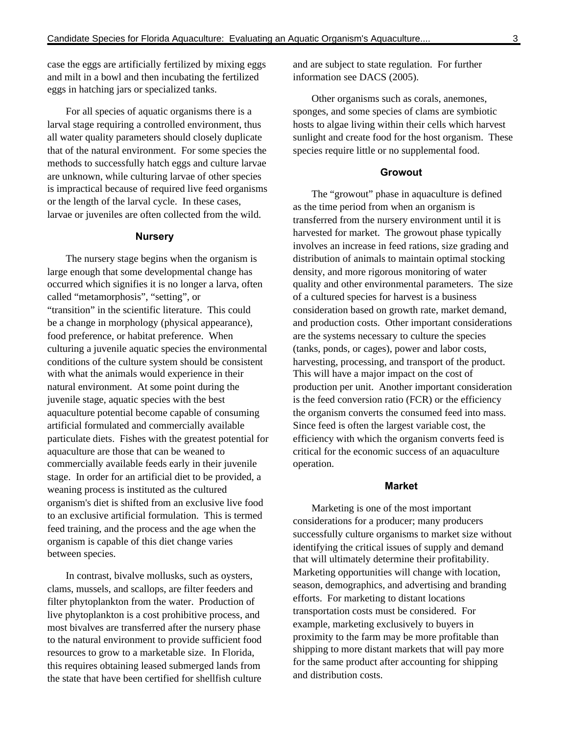case the eggs are artificially fertilized by mixing eggs and milt in a bowl and then incubating the fertilized eggs in hatching jars or specialized tanks.

For all species of aquatic organisms there is a larval stage requiring a controlled environment, thus all water quality parameters should closely duplicate that of the natural environment. For some species the methods to successfully hatch eggs and culture larvae are unknown, while culturing larvae of other species is impractical because of required live feed organisms or the length of the larval cycle. In these cases, larvae or juveniles are often collected from the wild.

#### **Nursery**

The nursery stage begins when the organism is large enough that some developmental change has occurred which signifies it is no longer a larva, often called "metamorphosis", "setting", or "transition" in the scientific literature. This could be a change in morphology (physical appearance), food preference, or habitat preference. When culturing a juvenile aquatic species the environmental conditions of the culture system should be consistent with what the animals would experience in their natural environment. At some point during the juvenile stage, aquatic species with the best aquaculture potential become capable of consuming artificial formulated and commercially available particulate diets. Fishes with the greatest potential for aquaculture are those that can be weaned to commercially available feeds early in their juvenile stage. In order for an artificial diet to be provided, a weaning process is instituted as the cultured organism's diet is shifted from an exclusive live food to an exclusive artificial formulation. This is termed feed training, and the process and the age when the organism is capable of this diet change varies between species.

In contrast, bivalve mollusks, such as oysters, clams, mussels, and scallops, are filter feeders and filter phytoplankton from the water. Production of live phytoplankton is a cost prohibitive process, and most bivalves are transferred after the nursery phase to the natural environment to provide sufficient food resources to grow to a marketable size. In Florida, this requires obtaining leased submerged lands from the state that have been certified for shellfish culture

and are subject to state regulation. For further information see DACS (2005).

Other organisms such as corals, anemones, sponges, and some species of clams are symbiotic hosts to algae living within their cells which harvest sunlight and create food for the host organism. These species require little or no supplemental food.

#### **Growout**

The "growout" phase in aquaculture is defined as the time period from when an organism is transferred from the nursery environment until it is harvested for market. The growout phase typically involves an increase in feed rations, size grading and distribution of animals to maintain optimal stocking density, and more rigorous monitoring of water quality and other environmental parameters. The size of a cultured species for harvest is a business consideration based on growth rate, market demand, and production costs. Other important considerations are the systems necessary to culture the species (tanks, ponds, or cages), power and labor costs, harvesting, processing, and transport of the product. This will have a major impact on the cost of production per unit. Another important consideration is the feed conversion ratio (FCR) or the efficiency the organism converts the consumed feed into mass. Since feed is often the largest variable cost, the efficiency with which the organism converts feed is critical for the economic success of an aquaculture operation.

#### **Market**

Marketing is one of the most important considerations for a producer; many producers successfully culture organisms to market size without identifying the critical issues of supply and demand that will ultimately determine their profitability. Marketing opportunities will change with location, season, demographics, and advertising and branding efforts. For marketing to distant locations transportation costs must be considered. For example, marketing exclusively to buyers in proximity to the farm may be more profitable than shipping to more distant markets that will pay more for the same product after accounting for shipping and distribution costs.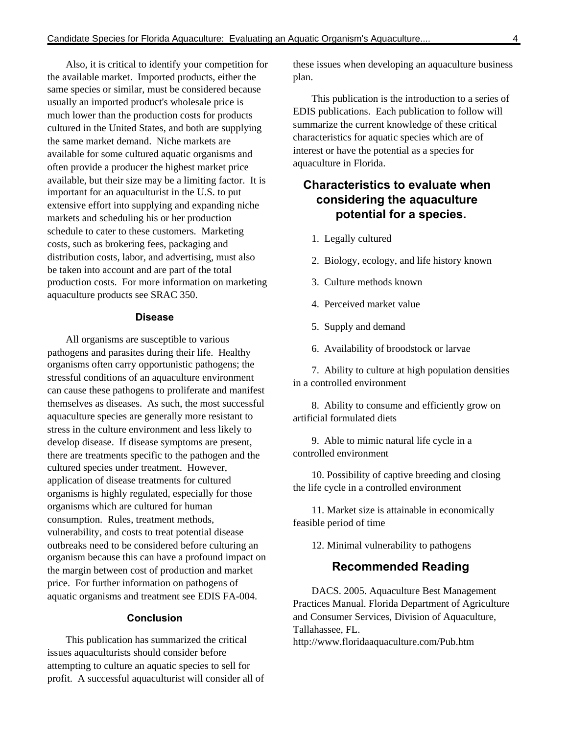Also, it is critical to identify your competition for the available market. Imported products, either the same species or similar, must be considered because usually an imported product's wholesale price is much lower than the production costs for products cultured in the United States, and both are supplying the same market demand. Niche markets are available for some cultured aquatic organisms and often provide a producer the highest market price available, but their size may be a limiting factor. It is important for an aquaculturist in the U.S. to put extensive effort into supplying and expanding niche markets and scheduling his or her production schedule to cater to these customers. Marketing costs, such as brokering fees, packaging and distribution costs, labor, and advertising, must also be taken into account and are part of the total production costs. For more information on marketing aquaculture products see SRAC 350.

#### **Disease**

All organisms are susceptible to various pathogens and parasites during their life. Healthy organisms often carry opportunistic pathogens; the stressful conditions of an aquaculture environment can cause these pathogens to proliferate and manifest themselves as diseases. As such, the most successful aquaculture species are generally more resistant to stress in the culture environment and less likely to develop disease. If disease symptoms are present, there are treatments specific to the pathogen and the cultured species under treatment. However, application of disease treatments for cultured organisms is highly regulated, especially for those organisms which are cultured for human consumption. Rules, treatment methods, vulnerability, and costs to treat potential disease outbreaks need to be considered before culturing an organism because this can have a profound impact on the margin between cost of production and market price. For further information on pathogens of aquatic organisms and treatment see EDIS FA-004.

#### **Conclusion**

This publication has summarized the critical issues aquaculturists should consider before attempting to culture an aquatic species to sell for profit. A successful aquaculturist will consider all of these issues when developing an aquaculture business plan.

This publication is the introduction to a series of EDIS publications. Each publication to follow will summarize the current knowledge of these critical characteristics for aquatic species which are of interest or have the potential as a species for aquaculture in Florida.

## **Characteristics to evaluate when considering the aquaculture potential for a species.**

- 1. Legally cultured
- 2. Biology, ecology, and life history known
- 3. Culture methods known
- 4. Perceived market value
- 5. Supply and demand
- 6. Availability of broodstock or larvae

7. Ability to culture at high population densities in a controlled environment

8. Ability to consume and efficiently grow on artificial formulated diets

9. Able to mimic natural life cycle in a controlled environment

10. Possibility of captive breeding and closing the life cycle in a controlled environment

11. Market size is attainable in economically feasible period of time

12. Minimal vulnerability to pathogens

### **Recommended Reading**

DACS. 2005. Aquaculture Best Management Practices Manual. Florida Department of Agriculture and Consumer Services, Division of Aquaculture, Tallahassee, FL.

http://www.floridaaquaculture.com/Pub.htm